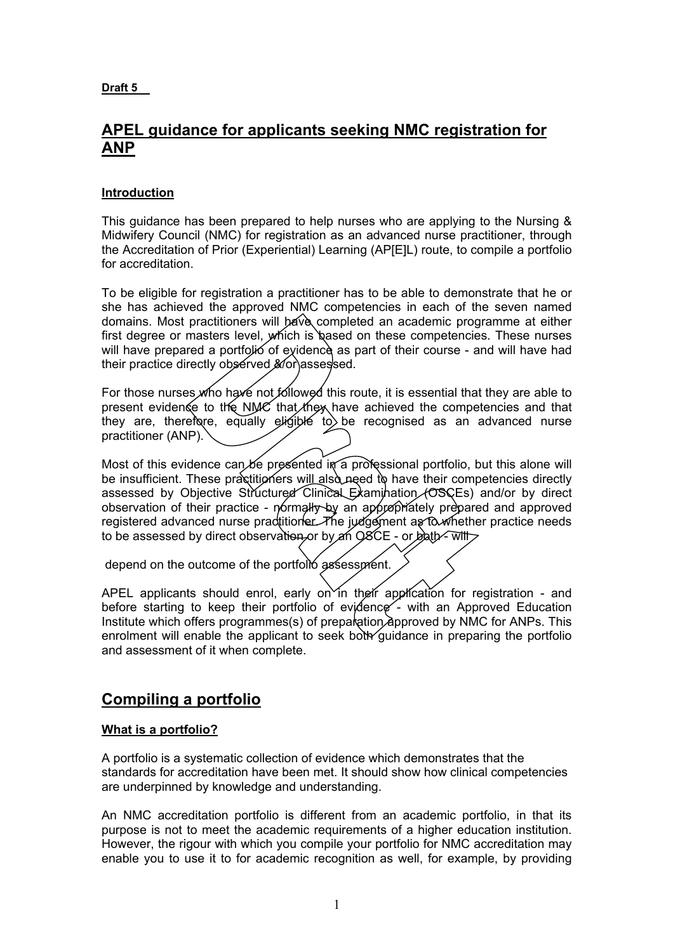**Draft 5** 

# **APEL guidance for applicants seeking NMC registration for ANP**

# **Introduction**

This guidance has been prepared to help nurses who are applying to the Nursing & Midwifery Council (NMC) for registration as an advanced nurse practitioner, through the Accreditation of Prior (Experiential) Learning (AP[E]L) route, to compile a portfolio for accreditation.

To be eligible for registration a practitioner has to be able to demonstrate that he or she has achieved the approved NMC competencies in each of the seven named domains. Most practitioners will bave completed an academic programme at either first degree or masters level, which is based on these competencies. These nurses will have prepared a portfolio of exidence as part of their course - and will have had their practice directly observed & or assessed.

For those nurses who have not followed this route, it is essential that they are able to present evidence to the NMC that they have achieved the competencies and that they are, therefore, equally eligible to be recognised as an advanced nurse practitioner (ANP).

Most of this evidence can be presented in a professional portfolio, but this alone will be insufficient. These practitioners will also need to have their competencies directly assessed by Objective Structured Clinical Examination (OSCEs) and/or by direct observation of their practice - normally by an appropriately prepared and approved registered advanced nurse practitioner. The judgement as to whether practice needs to be assessed by direct observation or by  $\alpha$  OSCE - or both - will

depend on the outcome of the portfollo assessment.

APEL applicants should enrol, early on in their application for registration - and before starting to keep their portfolio of evidence - with an Approved Education Institute which offers programmes(s) of preparation approved by NMC for ANPs. This enrolment will enable the applicant to seek both guidance in preparing the portfolio and assessment of it when complete.

# **Compiling a portfolio**

# **What is a portfolio?**

A portfolio is a systematic collection of evidence which demonstrates that the standards for accreditation have been met. It should show how clinical competencies are underpinned by knowledge and understanding.

An NMC accreditation portfolio is different from an academic portfolio, in that its purpose is not to meet the academic requirements of a higher education institution. However, the rigour with which you compile your portfolio for NMC accreditation may enable you to use it to for academic recognition as well, for example, by providing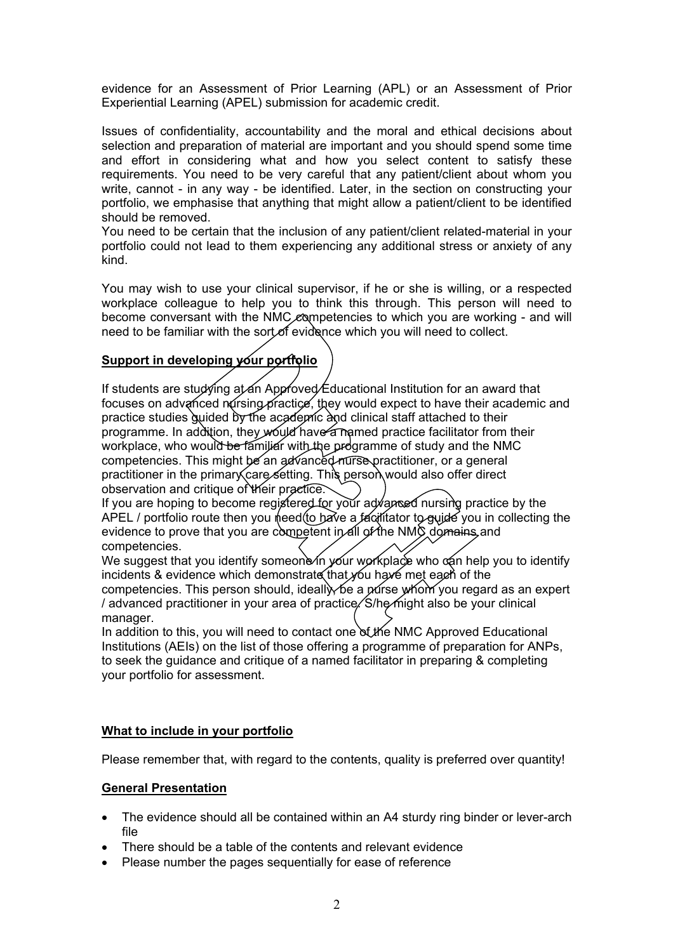evidence for an Assessment of Prior Learning (APL) or an Assessment of Prior Experiential Learning (APEL) submission for academic credit.

Issues of confidentiality, accountability and the moral and ethical decisions about selection and preparation of material are important and you should spend some time and effort in considering what and how you select content to satisfy these requirements. You need to be very careful that any patient/client about whom you write, cannot - in any way - be identified. Later, in the section on constructing your portfolio, we emphasise that anything that might allow a patient/client to be identified should be removed.

You need to be certain that the inclusion of any patient/client related-material in your portfolio could not lead to them experiencing any additional stress or anxiety of any kind.

You may wish to use your clinical supervisor, if he or she is willing, or a respected workplace colleague to help you to think this through. This person will need to become conversant with the NMC competencies to which you are working - and will need to be familiar with the sort of evidence which you will need to collect.

# **Support in developing your portfolio**

If students are studying at an Approved Educational Institution for an award that focuses on advanced nursing practice, they would expect to have their academic and practice studies guided by the academic and clinical staff attached to their programme. In addition, they would have a named practice facilitator from their workplace, who would be familiar with the programme of study and the NMC competencies. This might be an advanced nurse practitioner, or a general practitioner in the primary care setting. This person would also offer direct observation and critique of their practice.

If you are hoping to become registered for your advanced nursing practice by the APEL / portfolio route then you need (to have a facilitator to guide you in collecting the evidence to prove that you are competent in all of the NMC domains and competencies.

We suggest that you identify someone in your workplace who can help you to identify incidents & evidence which demonstrate that you have met each of the competencies. This person should, ideally be a purse whom you regard as an expert / advanced practitioner in your area of practice. S/he might also be your clinical manager.

In addition to this, you will need to contact one of the NMC Approved Educational Institutions (AEIs) on the list of those offering a programme of preparation for ANPs, to seek the guidance and critique of a named facilitator in preparing & completing your portfolio for assessment.

# **What to include in your portfolio**

Please remember that, with regard to the contents, quality is preferred over quantity!

# **General Presentation**

- The evidence should all be contained within an A4 sturdy ring binder or lever-arch file
- There should be a table of the contents and relevant evidence
- Please number the pages sequentially for ease of reference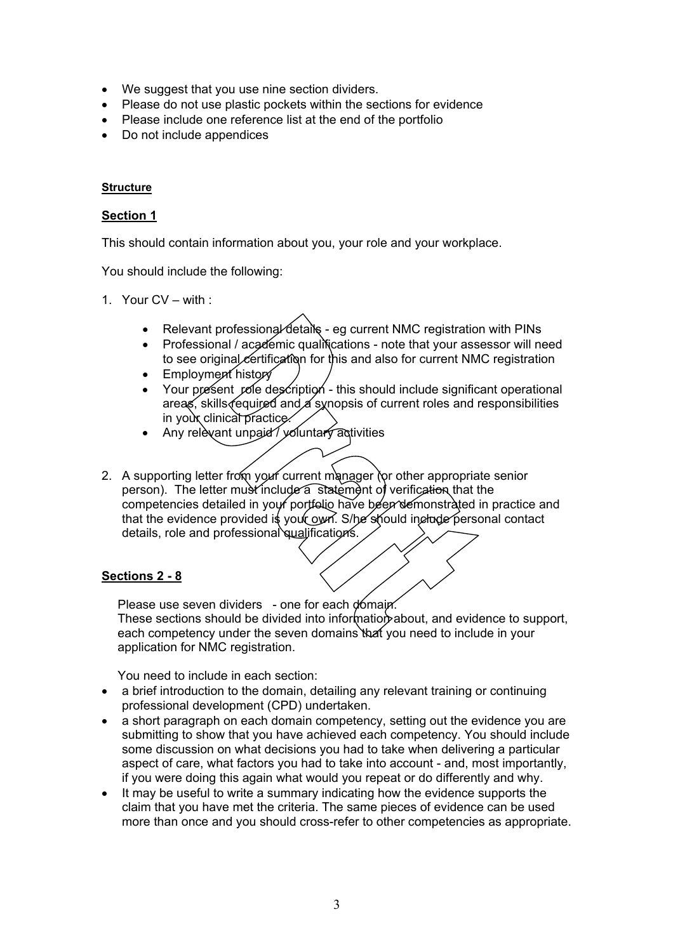- We suggest that you use nine section dividers.
- Please do not use plastic pockets within the sections for evidence
- Please include one reference list at the end of the portfolio
- Do not include appendices

## **Structure**

## **Section 1**

This should contain information about you, your role and your workplace.

You should include the following:

- 1. Your CV with :
	- Relevant professional details eg current NMC registration with PINs
	- Professional / academic qualifications note that your assessor will need to see original certification for this and also for current NMC registration
	- Employment history
	- Your present role description this should include significant operational areas, skills required and a synopsis of current roles and responsibilities in your clinical practice.
	- Any relevant unpaid / voluntary activities
- 2. A supporting letter from your current manager (or other appropriate senior person). The letter must include a statement of verification that the competencies detailed in your portfolio have been demonstrated in practice and that the evidence provided is your own. S/he should include personal contact details, role and professional qualifications.

# **Sections 2 - 8**

Please use seven dividers - one for each domain. These sections should be divided into information about, and evidence to support, each competency under the seven domains that you need to include in your application for NMC registration.

You need to include in each section:

- a brief introduction to the domain, detailing any relevant training or continuing professional development (CPD) undertaken.
- a short paragraph on each domain competency, setting out the evidence you are submitting to show that you have achieved each competency. You should include some discussion on what decisions you had to take when delivering a particular aspect of care, what factors you had to take into account - and, most importantly, if you were doing this again what would you repeat or do differently and why.
- It may be useful to write a summary indicating how the evidence supports the claim that you have met the criteria. The same pieces of evidence can be used more than once and you should cross-refer to other competencies as appropriate.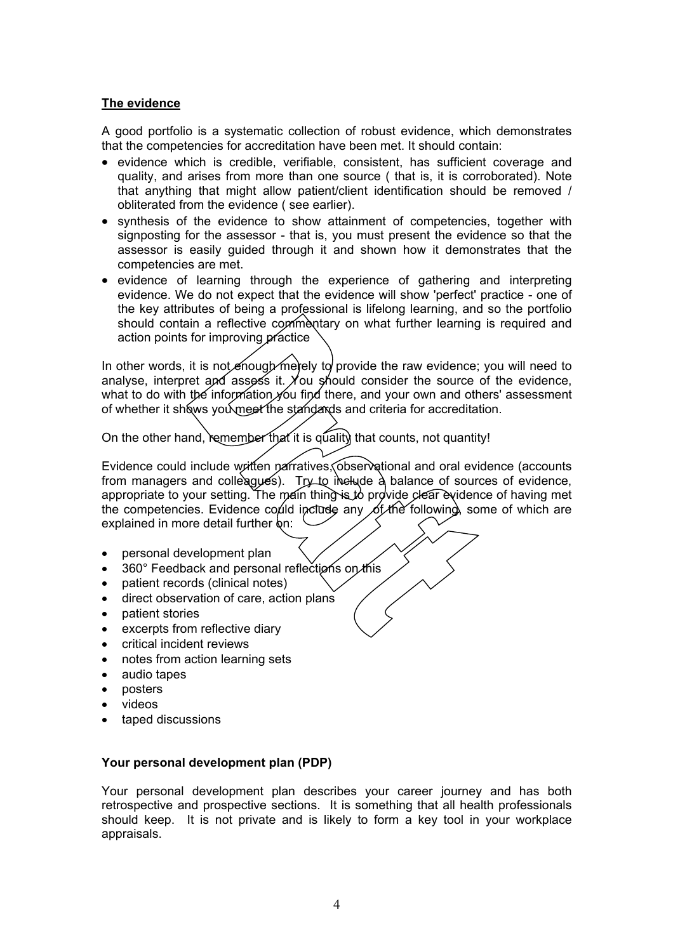# **The evidence**

A good portfolio is a systematic collection of robust evidence, which demonstrates that the competencies for accreditation have been met. It should contain:

- evidence which is credible, verifiable, consistent, has sufficient coverage and quality, and arises from more than one source ( that is, it is corroborated). Note that anything that might allow patient/client identification should be removed / obliterated from the evidence ( see earlier).
- synthesis of the evidence to show attainment of competencies, together with signposting for the assessor - that is, you must present the evidence so that the assessor is easily guided through it and shown how it demonstrates that the competencies are met.
- evidence of learning through the experience of gathering and interpreting evidence. We do not expect that the evidence will show 'perfect' practice - one of the key attributes of being a professional is lifelong learning, and so the portfolio should contain a reflective commentary on what further learning is required and action points for improving practice

In other words, it is not enough merely to provide the raw evidence; you will need to analyse, interpret and assess it. You should consider the source of the evidence, what to do with the information  $\gamma$  ou find there, and your own and others' assessment of whether it shows you meet the standards and criteria for accreditation.

On the other hand, remember that it is quality that counts, not quantity!

Evidence could include written narratives, observational and oral evidence (accounts from managers and colleagues). Try to include a balance of sources of evidence, appropriate to your setting. The main thing is to provide clear evidence of having met the competencies. Evidence could include any of the following, some of which are explained in more detail further  $\varphi$ n:

- personal development plan
- 360° Feedback and personal reflections on this
- patient records (clinical notes)
- direct observation of care, action plans
- patient stories
- excerpts from reflective diary
- critical incident reviews
- notes from action learning sets
- audio tapes
- posters
- videos
- taped discussions

#### **Your personal development plan (PDP)**

Your personal development plan describes your career journey and has both retrospective and prospective sections. It is something that all health professionals should keep. It is not private and is likely to form a key tool in your workplace appraisals.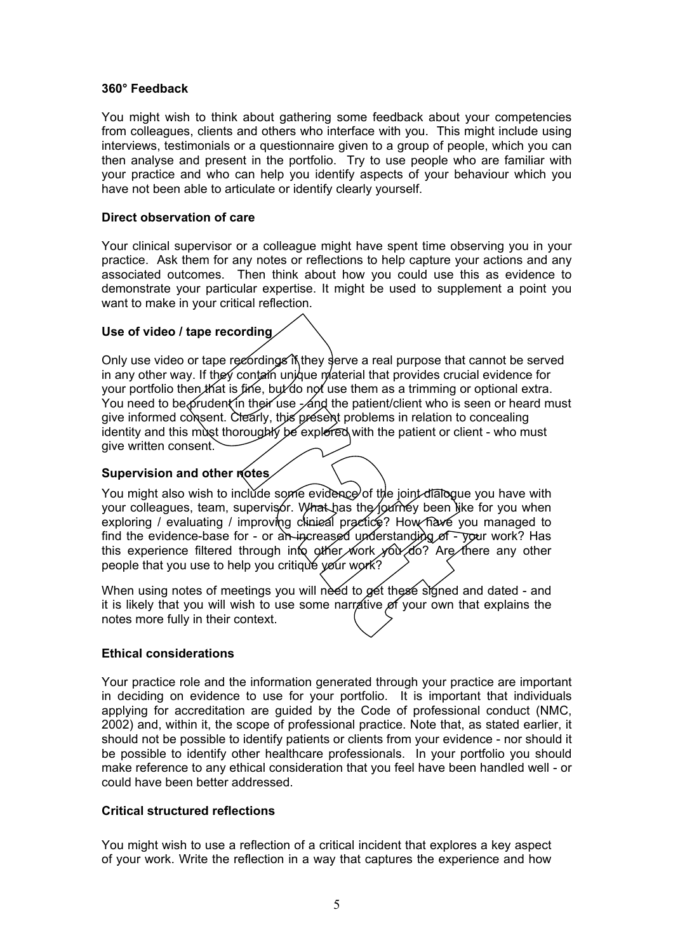## **360° Feedback**

You might wish to think about gathering some feedback about your competencies from colleagues, clients and others who interface with you. This might include using interviews, testimonials or a questionnaire given to a group of people, which you can then analyse and present in the portfolio. Try to use people who are familiar with your practice and who can help you identify aspects of your behaviour which you have not been able to articulate or identify clearly yourself.

## **Direct observation of care**

Your clinical supervisor or a colleague might have spent time observing you in your practice. Ask them for any notes or reflections to help capture your actions and any associated outcomes. Then think about how you could use this as evidence to demonstrate your particular expertise. It might be used to supplement a point you want to make in your critical reflection.

# **Use of video / tape recording**

Only use video or tape recordings if they serve a real purpose that cannot be served in any other way. If they contain unique material that provides crucial evidence for your portfolio then that is fine, but do not use them as a trimming or optional extra. You need to be prudent in their use  $\frac{1}{2}$  and the patient/client who is seen or heard must give informed consent. Clearly, this present problems in relation to concealing identity and this must thoroughly be explored with the patient or client - who must give written consent.

# Supervision and other notes

You might also wish to include some evidence of the joint dialogue you have with your colleagues, team, supervisor. What has the journey been like for you when exploring / evaluating / improving clinical practice? How have you managed to find the evidence-base for - or an increased understanding of - your work? Has this experience filtered through into other work you do? Are there any other people that you use to help you critique your work?

When using notes of meetings you will need to get these signed and dated - and it is likely that you will wish to use some narrative  $\epsilon$  your own that explains the notes more fully in their context.

# **Ethical considerations**

Your practice role and the information generated through your practice are important in deciding on evidence to use for your portfolio. It is important that individuals applying for accreditation are guided by the Code of professional conduct (NMC, 2002) and, within it, the scope of professional practice. Note that, as stated earlier, it should not be possible to identify patients or clients from your evidence - nor should it be possible to identify other healthcare professionals. In your portfolio you should make reference to any ethical consideration that you feel have been handled well - or could have been better addressed.

#### **Critical structured reflections**

You might wish to use a reflection of a critical incident that explores a key aspect of your work. Write the reflection in a way that captures the experience and how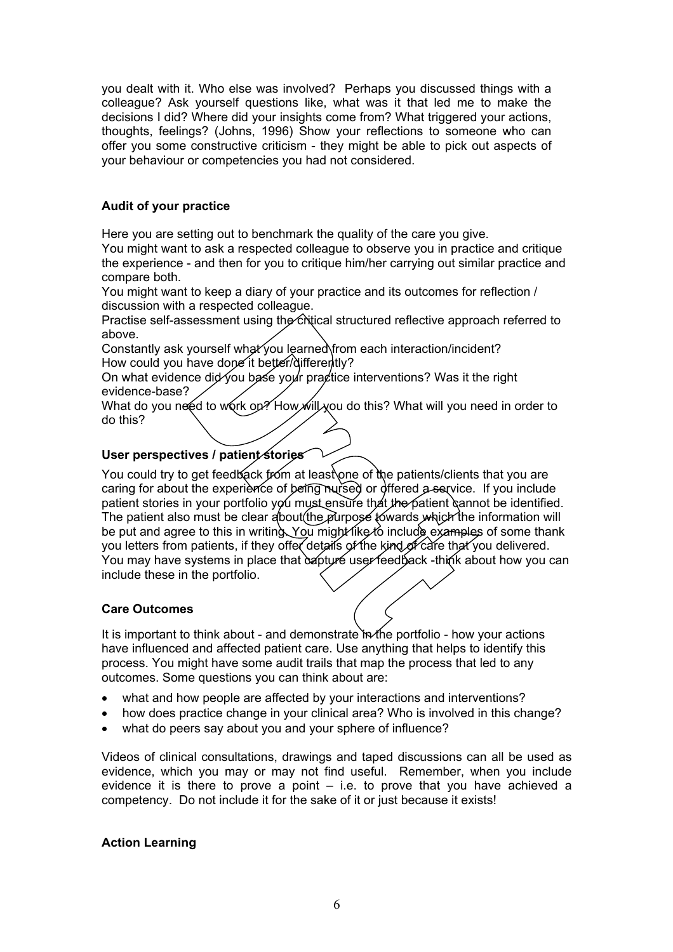you dealt with it. Who else was involved? Perhaps you discussed things with a colleague? Ask yourself questions like, what was it that led me to make the decisions I did? Where did your insights come from? What triggered your actions, thoughts, feelings? (Johns, 1996) Show your reflections to someone who can offer you some constructive criticism - they might be able to pick out aspects of your behaviour or competencies you had not considered.

# **Audit of your practice**

Here you are setting out to benchmark the quality of the care you give.

You might want to ask a respected colleague to observe you in practice and critique the experience - and then for you to critique him/her carrying out similar practice and compare both.

You might want to keep a diary of your practice and its outcomes for reflection / discussion with a respected colleague.

Practise self-assessment using the  $\hat{c}$  critical structured reflective approach referred to above.

Constantly ask yourself what you learned from each interaction/incident? How could you have done it better/differently?

On what evidence did you base your practice interventions? Was it the right evidence-base?

What do you need to work on? How will you do this? What will you need in order to do this?

# **User perspectives / patient stories**

You could try to get feedback from at least one of the patients/clients that you are caring for about the experience of being nursed or offered a service. If you include patient stories in your portfolio you must ensure that the patient cannot be identified. The patient also must be clear about the purpose towards which the information will be put and agree to this in writing. You might like to include examples of some thank you letters from patients, if they offer details of the kind of care that you delivered. You may have systems in place that capture user feedback -think about how you can include these in the portfolio.

# **Care Outcomes**

It is important to think about - and demonstrate in the portfolio - how your actions have influenced and affected patient care. Use anything that helps to identify this process. You might have some audit trails that map the process that led to any outcomes. Some questions you can think about are:

- what and how people are affected by your interactions and interventions?
- how does practice change in your clinical area? Who is involved in this change?
- what do peers say about you and your sphere of influence?

Videos of clinical consultations, drawings and taped discussions can all be used as evidence, which you may or may not find useful. Remember, when you include evidence it is there to prove a point – i.e. to prove that you have achieved a competency. Do not include it for the sake of it or just because it exists!

# **Action Learning**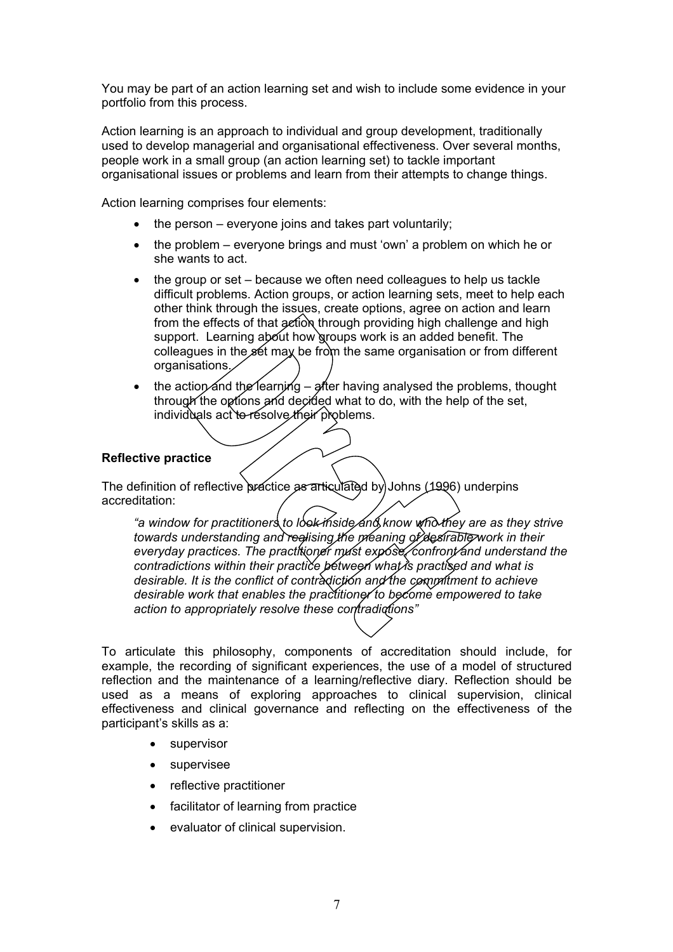You may be part of an action learning set and wish to include some evidence in your portfolio from this process.

Action learning is an approach to individual and group development, traditionally used to develop managerial and organisational effectiveness. Over several months, people work in a small group (an action learning set) to tackle important organisational issues or problems and learn from their attempts to change things.

Action learning comprises four elements:

- $\bullet$  the person everyone joins and takes part voluntarily;
- the problem everyone brings and must 'own' a problem on which he or she wants to act.
- the group or set because we often need colleagues to help us tackle difficult problems. Action groups, or action learning sets, meet to help each other think through the issues, create options, agree on action and learn from the effects of that action through providing high challenge and high support. Learning about how groups work is an added benefit. The colleagues in the set may be from the same organisation or from different organisations.
- the action and the learning after having analysed the problems, thought through the options and decided what to do, with the help of the set, individuals act to resolve their problems.

#### **Reflective practice**

The definition of reflective practice as articulated by Johns  $(1996)$  underpins accreditation:

*"a window for practitioners to look inside and know who they are as they strive towards understanding and realising the meaning of desirable work in their everyday practices. The practitioner must expose, confront and understand the contradictions within their practice between what is practised and what is desirable. It is the conflict of contradiction and the commitment to achieve desirable work that enables the practitioner to become empowered to take action to appropriately resolve these contradictions"* 

To articulate this philosophy, components of accreditation should include, for example, the recording of significant experiences, the use of a model of structured reflection and the maintenance of a learning/reflective diary. Reflection should be used as a means of exploring approaches to clinical supervision, clinical effectiveness and clinical governance and reflecting on the effectiveness of the participant's skills as a:

- supervisor
- supervisee
- reflective practitioner
- facilitator of learning from practice
- evaluator of clinical supervision.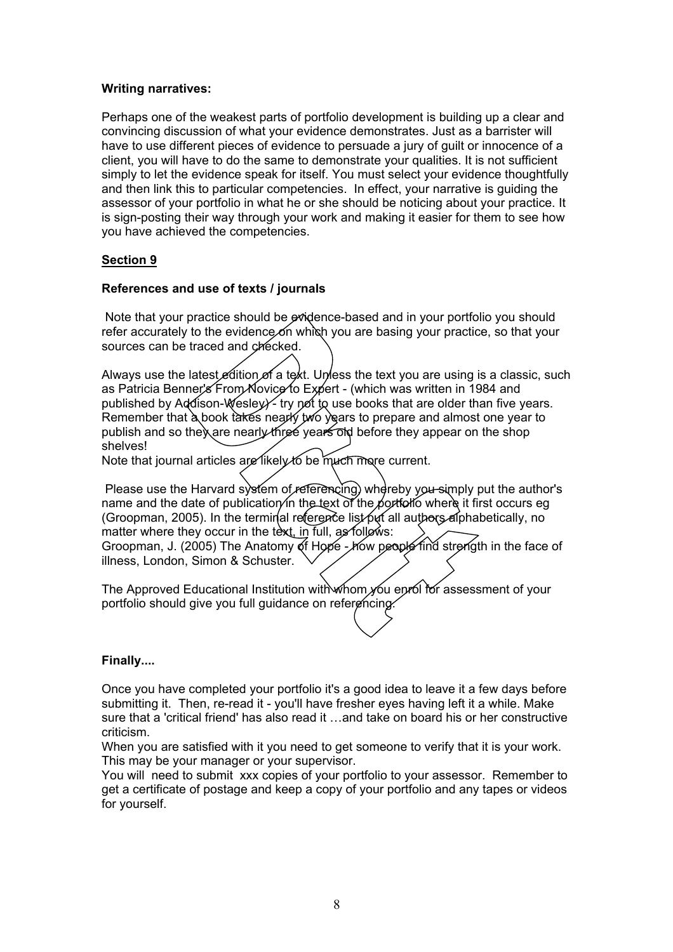#### **Writing narratives:**

Perhaps one of the weakest parts of portfolio development is building up a clear and convincing discussion of what your evidence demonstrates. Just as a barrister will have to use different pieces of evidence to persuade a jury of guilt or innocence of a client, you will have to do the same to demonstrate your qualities. It is not sufficient simply to let the evidence speak for itself. You must select your evidence thoughtfully and then link this to particular competencies. In effect, your narrative is guiding the assessor of your portfolio in what he or she should be noticing about your practice. It is sign-posting their way through your work and making it easier for them to see how you have achieved the competencies.

# **Section 9**

# **References and use of texts / journals**

Note that your practice should be evidence-based and in your portfolio you should refer accurately to the evidence on which you are basing your practice, so that your sources can be traced and checked.

Always use the latest edition of a text. Unless the text you are using is a classic, such as Patricia Benner's From Novice to Expert - (which was written in 1984 and published by Addison-Wesley) - try not to use books that are older than five years. Remember that a book takes nearly two years to prepare and almost one year to publish and so they are nearly three years old before they appear on the shop shelves!

Note that journal articles are likely to be much more current.

Please use the Harvard system of referencing) whereby you simply put the author's name and the date of publication in the text of the portfolio where it first occurs eq (Groopman, 2005). In the terminal reference list put all authors alphabetically, no matter where they occur in the text, in full, as follows: Groopman, J. (2005) The Anatomy of Hope - how people find strength in the face of

illness, London, Simon & Schuster.

The Approved Educational Institution with whom you enrol for assessment of your portfolio should give you full quidance on referencing.

# **Finally....**

Once you have completed your portfolio it's a good idea to leave it a few days before submitting it. Then, re-read it - you'll have fresher eyes having left it a while. Make sure that a 'critical friend' has also read it …and take on board his or her constructive criticism.

When you are satisfied with it you need to get someone to verify that it is your work. This may be your manager or your supervisor.

You will need to submit xxx copies of your portfolio to your assessor. Remember to get a certificate of postage and keep a copy of your portfolio and any tapes or videos for yourself.